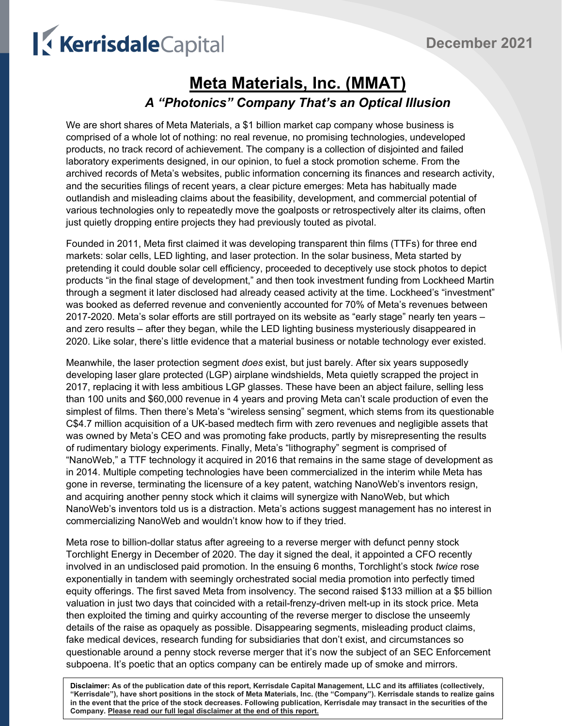# KerrisdaleCapital

## **Meta Materials, Inc. (MMAT)** *A "Photonics" Company That's an Optical Illusion*

We are short shares of Meta Materials, a \$1 billion market cap company whose business is comprised of a whole lot of nothing: no real revenue, no promising technologies, undeveloped products, no track record of achievement. The company is a collection of disjointed and failed laboratory experiments designed, in our opinion, to fuel a stock promotion scheme. From the archived records of Meta's websites, public information concerning its finances and research activity, and the securities filings of recent years, a clear picture emerges: Meta has habitually made outlandish and misleading claims about the feasibility, development, and commercial potential of various technologies only to repeatedly move the goalposts or retrospectively alter its claims, often just quietly dropping entire projects they had previously touted as pivotal.

Founded in 2011, Meta first claimed it was developing transparent thin films (TTFs) for three end markets: solar cells, LED lighting, and laser protection. In the solar business, Meta started by pretending it could double solar cell efficiency, proceeded to deceptively use stock photos to depict products "in the final stage of development," and then took investment funding from Lockheed Martin through a segment it later disclosed had already ceased activity at the time. Lockheed's "investment" was booked as deferred revenue and conveniently accounted for 70% of Meta's revenues between 2017-2020. Meta's solar efforts are still portrayed on its website as "early stage" nearly ten years – and zero results – after they began, while the LED lighting business mysteriously disappeared in 2020. Like solar, there's little evidence that a material business or notable technology ever existed.

Meanwhile, the laser protection segment *does* exist, but just barely. After six years supposedly developing laser glare protected (LGP) airplane windshields, Meta quietly scrapped the project in 2017, replacing it with less ambitious LGP glasses. These have been an abject failure, selling less than 100 units and \$60,000 revenue in 4 years and proving Meta can't scale production of even the simplest of films. Then there's Meta's "wireless sensing" segment, which stems from its questionable C\$4.7 million acquisition of a UK-based medtech firm with zero revenues and negligible assets that was owned by Meta's CEO and was promoting fake products, partly by misrepresenting the results of rudimentary biology experiments. Finally, Meta's "lithography" segment is comprised of "NanoWeb," a TTF technology it acquired in 2016 that remains in the same stage of development as in 2014. Multiple competing technologies have been commercialized in the interim while Meta has gone in reverse, terminating the licensure of a key patent, watching NanoWeb's inventors resign, and acquiring another penny stock which it claims will synergize with NanoWeb, but which NanoWeb's inventors told us is a distraction. Meta's actions suggest management has no interest in commercializing NanoWeb and wouldn't know how to if they tried.

Meta rose to billion-dollar status after agreeing to a reverse merger with defunct penny stock Torchlight Energy in December of 2020. The day it signed the deal, it appointed a CFO recently involved in an undisclosed paid promotion. In the ensuing 6 months, Torchlight's stock *twice* rose exponentially in tandem with seemingly orchestrated social media promotion into perfectly timed equity offerings. The first saved Meta from insolvency. The second raised \$133 million at a \$5 billion valuation in just two days that coincided with a retail-frenzy-driven melt-up in its stock price. Meta then exploited the timing and quirky accounting of the reverse merger to disclose the unseemly details of the raise as opaquely as possible. Disappearing segments, misleading product claims, fake medical devices, research funding for subsidiaries that don't exist, and circumstances so questionable around a penny stock reverse merger that it's now the subject of an SEC Enforcement subpoena. It's poetic that an optics company can be entirely made up of smoke and mirrors.

**Disclaimer: As of the publication date of this report, Kerrisdale Capital Management, LLC and its affiliates (collectively, "Kerrisdale"), have short positions in the stock of Meta Materials, Inc. (the "Company"). Kerrisdale stands to realize gains in the event that the price of the stock decreases. Following publication, Kerrisdale may transact in the securities of the Company. Please read our full legal disclaimer at the end of this report.**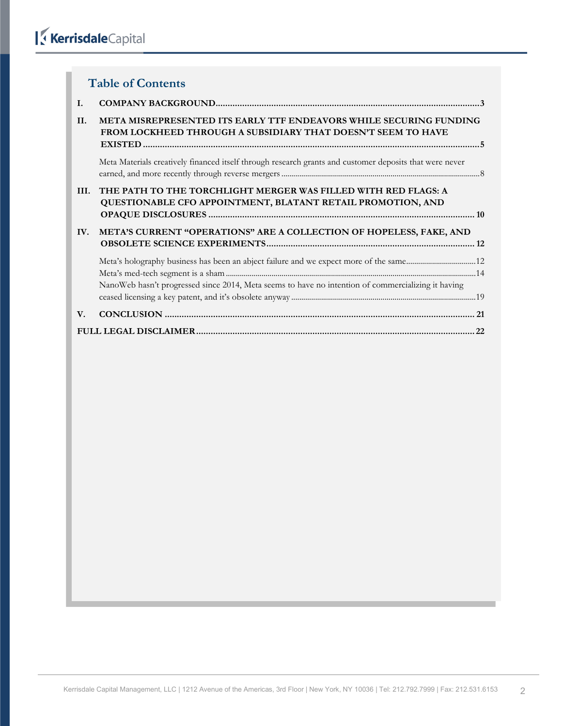#### **Table of Contents**

| I.   |                                                                                                                                           |
|------|-------------------------------------------------------------------------------------------------------------------------------------------|
| II.  | <b>META MISREPRESENTED ITS EARLY TTF ENDEAVORS WHILE SECURING FUNDING</b><br>FROM LOCKHEED THROUGH A SUBSIDIARY THAT DOESN'T SEEM TO HAVE |
|      | Meta Materials creatively financed itself through research grants and customer deposits that were never                                   |
| III. | THE PATH TO THE TORCHLIGHT MERGER WAS FILLED WITH RED FLAGS: A<br>QUESTIONABLE CFO APPOINTMENT, BLATANT RETAIL PROMOTION, AND             |
| IV.  | META'S CURRENT "OPERATIONS" ARE A COLLECTION OF HOPELESS, FAKE, AND                                                                       |
|      | NanoWeb hasn't progressed since 2014, Meta seems to have no intention of commercializing it having                                        |
| V.   |                                                                                                                                           |
|      |                                                                                                                                           |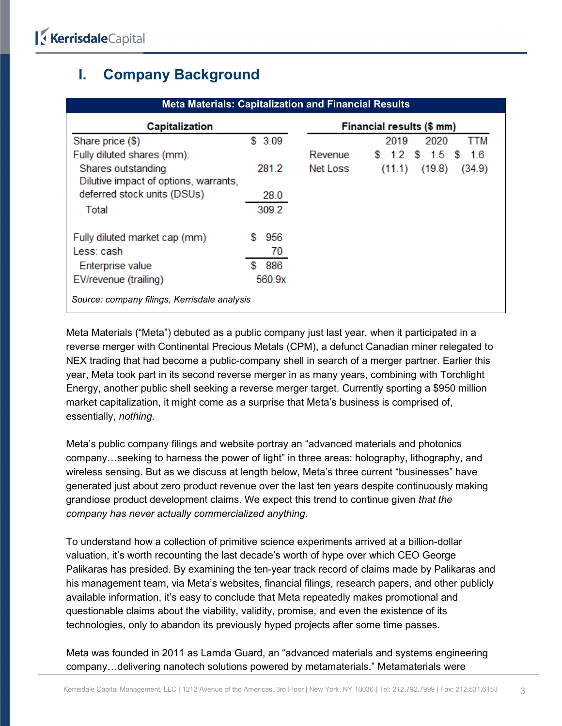### <span id="page-2-0"></span>**I. Company Background**

| <b>Meta Materials: Capitalization and Financial Results</b> |           |                           |                            |  |  |
|-------------------------------------------------------------|-----------|---------------------------|----------------------------|--|--|
| Capitalization                                              |           | Financial results (\$ mm) |                            |  |  |
| Share price (\$)                                            | \$3.09    |                           | 2019<br>2020<br>TTM        |  |  |
| Fully diluted shares (mm):                                  |           | Revenue                   | \$ 1.2 \$ 1.5 \$<br>1.6    |  |  |
| Shares outstanding<br>Dilutive impact of options, warrants, | 281.2     | Net Loss                  | (19.8)<br>(34.9)<br>(11.1) |  |  |
| deferred stock units (DSUs)                                 | 28.0      |                           |                            |  |  |
| Total                                                       | 309.2     |                           |                            |  |  |
| Fully diluted market cap (mm)<br>Less: cash                 | 956<br>70 |                           |                            |  |  |
| Enterprise value                                            | 886       |                           |                            |  |  |
| EV/revenue (trailing)                                       | 560.9x    |                           |                            |  |  |
| Source: company filings, Kerrisdale analysis                |           |                           |                            |  |  |

Meta Materials ("Meta") debuted as a public company just last year, when it participated in a reverse merger with Continental Precious Metals (CPM), a defunct Canadian miner relegated to NEX trading that had become a public-company shell in search of a merger partner. Earlier this year, Meta took part in its second reverse merger in as many years, combining with Torchlight Energy, another public shell seeking a reverse merger target. Currently sporting a \$950 million market capitalization, it might come as a surprise that Meta's business is comprised of, essentially, *nothing*.

Meta's public company filings and website portray an "advanced materials and photonics company…seeking to harness the power of light" in three areas: holography, lithography, and wireless sensing. But as we discuss at length below, Meta's three current "businesses" have generated just about zero product revenue over the last ten years despite continuously making grandiose product development claims. We expect this trend to continue given *that the company has never actually commercialized anything*.

To understand how a collection of primitive science experiments arrived at a billion-dollar valuation, it's worth recounting the last decade's worth of hype over which CEO George Palikaras has presided. By examining the ten-year track record of claims made by Palikaras and his management team, via Meta's websites, financial filings, research papers, and other publicly available information, it's easy to conclude that Meta repeatedly makes promotional and questionable claims about the viability, validity, promise, and even the existence of its technologies, only to abandon its previously hyped projects after some time passes.

Meta was founded in 2011 as Lamda Guard, an "advanced materials and systems engineering company…delivering nanotech solutions powered by metamaterials." Metamaterials were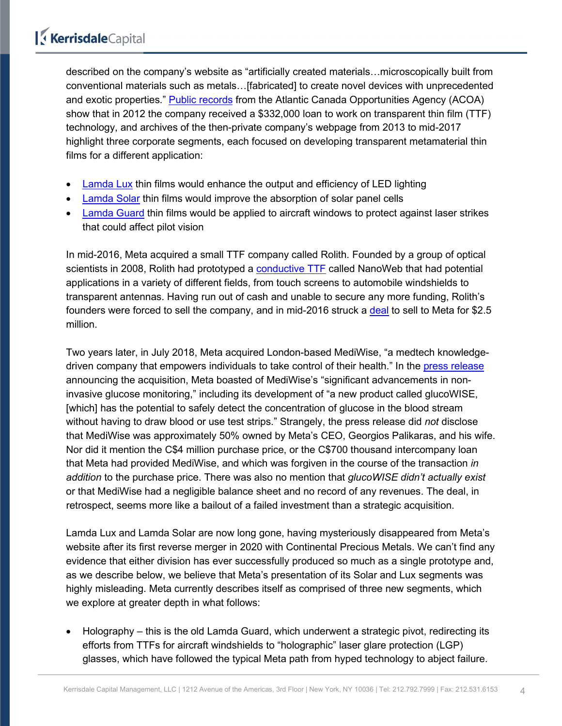described on the company's website as "artificially created materials…microscopically built from conventional materials such as metals…[fabricated] to create novel devices with unprecedented and exotic properties." **[Public records](https://open.canada.ca/data/en/dataset/ad1f4897-3298-4d15-8e5e-094958be7388) from the Atlantic Canada Opportunities Agency (ACOA)** show that in 2012 the company received a \$332,000 loan to work on transparent thin film (TTF) technology, and archives of the then-private company's webpage from 2013 to mid-2017 highlight three corporate segments, each focused on developing transparent metamaterial thin films for a different application:

- [Lamda Lux](https://web.archive.org/web/20160403053426/http:/metamaterial.com/node/81) thin films would enhance the output and efficiency of LED lighting
- **[Lamda Solar](https://web.archive.org/web/20160401085521/http:/metamaterial.com/lamdasolar) thin films would improve the absorption of solar panel cells**
- [Lamda Guard](https://web.archive.org/web/20160403052944/http:/metamaterial.com/node/84) thin films would be applied to aircraft windows to protect against laser strikes that could affect pilot vision

In mid-2016, Meta acquired a small TTF company called Rolith. Founded by a group of optical scientists in 2008, Rolith had prototyped a [conductive TTF](https://en.wikipedia.org/wiki/Transparent_conducting_film) called NanoWeb that had potential applications in a variety of different fields, from touch screens to automobile windshields to transparent antennas. Having run out of cash and unable to secure any more funding, Rolith's founders were forced to sell the company, and in mid-2016 struck a [deal](https://metamaterial.com/canadian-metamaterial-technologies-inc-eyes-silicon-valley-expansion-through-the-acquisition-of-roliths-business/) to sell to Meta for \$2.5 million.

Two years later, in July 2018, Meta acquired London-based MediWise, "a medtech knowledgedriven company that empowers individuals to take control of their health." In the [press release](https://metamaterial.com/metamaterial-technologies-inc-acquires-mediwise-ltd/) announcing the acquisition, Meta boasted of MediWise's "significant advancements in noninvasive glucose monitoring," including its development of "a new product called glucoWISE, [which] has the potential to safely detect the concentration of glucose in the blood stream without having to draw blood or use test strips." Strangely, the press release did *not* disclose that MediWise was approximately 50% owned by Meta's CEO, Georgios Palikaras, and his wife. Nor did it mention the C\$4 million purchase price, or the C\$700 thousand intercompany loan that Meta had provided MediWise, and which was forgiven in the course of the transaction *in addition* to the purchase price. There was also no mention that *glucoWISE didn't actually exist* or that MediWise had a negligible balance sheet and no record of any revenues. The deal, in retrospect, seems more like a bailout of a failed investment than a strategic acquisition.

Lamda Lux and Lamda Solar are now long gone, having mysteriously disappeared from Meta's website after its first reverse merger in 2020 with Continental Precious Metals. We can't find any evidence that either division has ever successfully produced so much as a single prototype and, as we describe below, we believe that Meta's presentation of its Solar and Lux segments was highly misleading. Meta currently describes itself as comprised of three new segments, which we explore at greater depth in what follows:

• Holography – this is the old Lamda Guard, which underwent a strategic pivot, redirecting its efforts from TTFs for aircraft windshields to "holographic" laser glare protection (LGP) glasses, which have followed the typical Meta path from hyped technology to abject failure.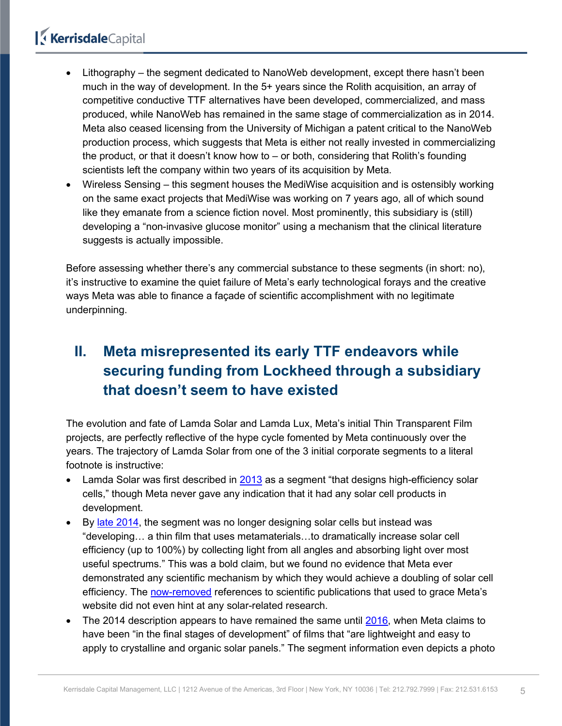## KerrisdaleCapital

- Lithography the segment dedicated to NanoWeb development, except there hasn't been much in the way of development. In the 5+ years since the Rolith acquisition, an array of competitive conductive TTF alternatives have been developed, commercialized, and mass produced, while NanoWeb has remained in the same stage of commercialization as in 2014. Meta also ceased licensing from the University of Michigan a patent critical to the NanoWeb production process, which suggests that Meta is either not really invested in commercializing the product, or that it doesn't know how to – or both, considering that Rolith's founding scientists left the company within two years of its acquisition by Meta.
- Wireless Sensing this segment houses the MediWise acquisition and is ostensibly working on the same exact projects that MediWise was working on 7 years ago, all of which sound like they emanate from a science fiction novel. Most prominently, this subsidiary is (still) developing a "non-invasive glucose monitor" using a mechanism that the clinical literature suggests is actually impossible.

Before assessing whether there's any commercial substance to these segments (in short: no), it's instructive to examine the quiet failure of Meta's early technological forays and the creative ways Meta was able to finance a façade of scientific accomplishment with no legitimate underpinning.

## <span id="page-4-0"></span>**II. Meta misrepresented its early TTF endeavors while securing funding from Lockheed through a subsidiary that doesn't seem to have existed**

The evolution and fate of Lamda Solar and Lamda Lux, Meta's initial Thin Transparent Film projects, are perfectly reflective of the hype cycle fomented by Meta continuously over the years. The trajectory of Lamda Solar from one of the 3 initial corporate segments to a literal footnote is instructive:

- Lamda Solar was first described in [2013](https://web.archive.org/web/20131005080136/http:/lamdaguard.com/applications.php) as a segment "that designs high-efficiency solar cells," though Meta never gave any indication that it had any solar cell products in development.
- By [late 2014,](https://web.archive.org/web/20141011155606/http:/www.metamaterial.com/lamdasolar) the segment was no longer designing solar cells but instead was "developing… a thin film that uses metamaterials…to dramatically increase solar cell efficiency (up to 100%) by collecting light from all angles and absorbing light over most useful spectrums." This was a bold claim, but we found no evidence that Meta ever demonstrated any scientific mechanism by which they would achieve a doubling of solar cell efficiency. The [now-removed](https://web.archive.org/web/20150215084640/http:/metamaterial.com/publications-0) references to scientific publications that used to grace Meta's website did not even hint at any solar-related research.
- The 2014 description appears to have remained the same until [2016,](https://web.archive.org/web/20160530235331/http:/www.metamaterial.com/lamda-solar/) when Meta claims to have been "in the final stages of development" of films that "are lightweight and easy to apply to crystalline and organic solar panels." The segment information even depicts a photo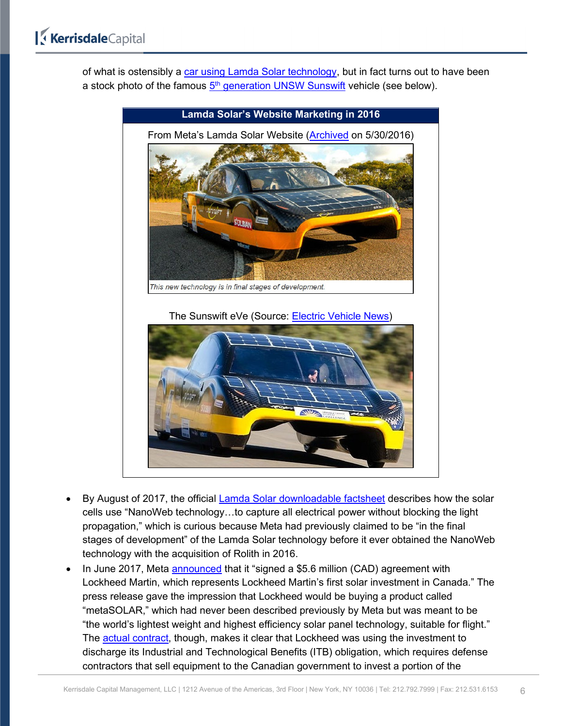of what is ostensibly a [car using Lamda Solar technology,](https://web.archive.org/web/20160605165029im_/http:/www.metamaterial.com/wp-content/uploads/2016/03/solar-car.jpg) but in fact turns out to have been a stock photo of the famous  $5<sup>th</sup>$  [generation UNSW Sunswift](https://newsroom.unsw.edu.au/news/science-tech/racing-sunshine-unsws-sunswift-turns-20) vehicle (see below).



- By August of 2017, the official [Lamda Solar downloadable factsheet](https://cdn2.hubspot.net/hubfs/1871983/Offers/2017-08-22%20Lamda%20Solar%20CTA.pdf?__hstc=&__hssc=&hsCtaTracking=2acc1e2e-c1bb-4547-a06a-59c67b2dd050%7Cf589969f-33f6-48ab-bcd7-74d7c20a7301) describes how the solar cells use "NanoWeb technology…to capture all electrical power without blocking the light propagation," which is curious because Meta had previously claimed to be "in the final stages of development" of the Lamda Solar technology before it ever obtained the NanoWeb technology with the acquisition of Rolith in 2016.
- In June 2017, Meta [announced](https://metamaterial.com/lockheed-martin-partners-with-metamaterial-technologies-to-support-the-development-of-metasolar-making-its-first-solar-investment-in-canada/) that it "signed a \$5.6 million (CAD) agreement with Lockheed Martin, which represents Lockheed Martin's first solar investment in Canada." The press release gave the impression that Lockheed would be buying a product called "metaSOLAR," which had never been described previously by Meta but was meant to be "the world's lightest weight and highest efficiency solar panel technology, suitable for flight." The **actual contract**, though, makes it clear that Lockheed was using the investment to discharge its Industrial and Technological Benefits (ITB) obligation, which requires defense contractors that sell equipment to the Canadian government to invest a portion of the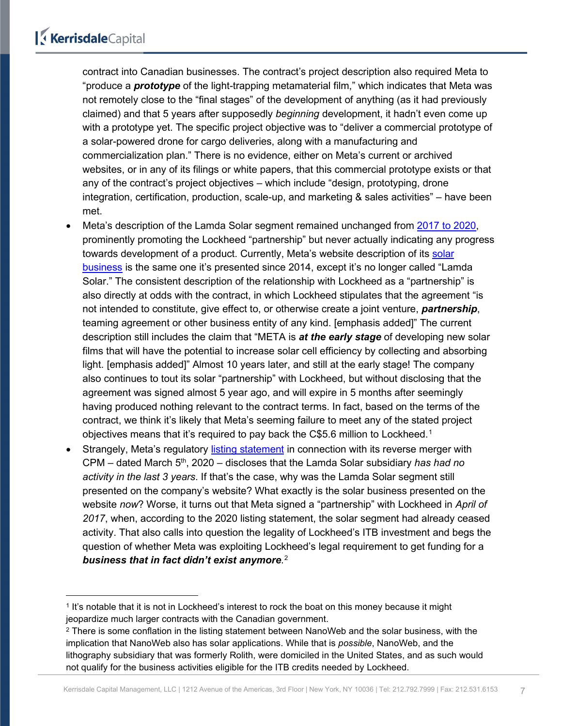contract into Canadian businesses. The contract's project description also required Meta to "produce a *prototype* of the light-trapping metamaterial film," which indicates that Meta was not remotely close to the "final stages" of the development of anything (as it had previously claimed) and that 5 years after supposedly *beginning* development, it hadn't even come up with a prototype yet. The specific project objective was to "deliver a commercial prototype of a solar-powered drone for cargo deliveries, along with a manufacturing and commercialization plan." There is no evidence, either on Meta's current or archived websites, or in any of its filings or white papers, that this commercial prototype exists or that any of the contract's project objectives – which include "design, prototyping, drone integration, certification, production, scale-up, and marketing & sales activities" – have been met.

- Meta's description of the Lamda Solar segment remained unchanged from [2017 to 2020,](https://web.archive.org/web/20200226065552/http:/www.metamaterial.com/lamda-solar/) prominently promoting the Lockheed "partnership" but never actually indicating any progress towards development of a product. Currently, Meta's website description of its solar [business](https://metamaterial.com/solutions/solar-cells/) is the same one it's presented since 2014, except it's no longer called "Lamda Solar." The consistent description of the relationship with Lockheed as a "partnership" is also directly at odds with the contract, in which Lockheed stipulates that the agreement "is not intended to constitute, give effect to, or otherwise create a joint venture, *partnership*, teaming agreement or other business entity of any kind. [emphasis added]" The current description still includes the claim that "META is *at the early stage* of developing new solar films that will have the potential to increase solar cell efficiency by collecting and absorbing light. [emphasis added]" Almost 10 years later, and still at the early stage! The company also continues to tout its solar "partnership" with Lockheed, but without disclosing that the agreement was signed almost 5 year ago, and will expire in 5 months after seemingly having produced nothing relevant to the contract terms. In fact, based on the terms of the contract, we think it's likely that Meta's seeming failure to meet any of the stated project objectives means that it's required to pay back the C\$5.6 million to Lockheed.<sup>[1](#page-6-0)</sup>
- Strangely, Meta's regulatory [listing statement](https://www.sedar.com/GetFile.do?lang=EN&docClass=13&issuerNo=00004588&issuerType=03&projectNo=03026823&docId=4679524) in connection with its reverse merger with CPM – dated March 5th, 2020 – discloses that the Lamda Solar subsidiary *has had no activity in the last 3 years*. If that's the case, why was the Lamda Solar segment still presented on the company's website? What exactly is the solar business presented on the website *now*? Worse, it turns out that Meta signed a "partnership" with Lockheed in *April of 2017*, when, according to the 2020 listing statement, the solar segment had already ceased activity. That also calls into question the legality of Lockheed's ITB investment and begs the question of whether Meta was exploiting Lockheed's legal requirement to get funding for a *business that in fact didn't exist anymore*. [2](#page-6-1)

<span id="page-6-0"></span><sup>1</sup> It's notable that it is not in Lockheed's interest to rock the boat on this money because it might jeopardize much larger contracts with the Canadian government.

<span id="page-6-1"></span><sup>&</sup>lt;sup>2</sup> There is some conflation in the listing statement between NanoWeb and the solar business, with the implication that NanoWeb also has solar applications. While that is *possible*, NanoWeb, and the lithography subsidiary that was formerly Rolith, were domiciled in the United States, and as such would not qualify for the business activities eligible for the ITB credits needed by Lockheed.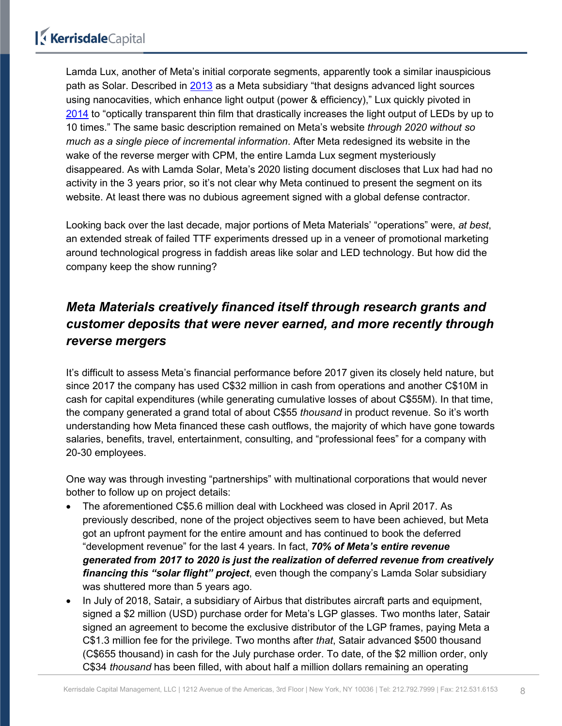Lamda Lux, another of Meta's initial corporate segments, apparently took a similar inauspicious path as Solar. Described in [2013](https://web.archive.org/web/20131005080136/http:/lamdaguard.com/applications.php) as a Meta subsidiary "that designs advanced light sources using nanocavities, which enhance light output (power & efficiency)," Lux quickly pivoted in [2014](https://web.archive.org/web/20141016073633/http:/www.metamaterial.com/node/81) to "optically transparent thin film that drastically increases the light output of LEDs by up to 10 times." The same basic description remained on Meta's website *through 2020 without so much as a single piece of incremental information*. After Meta redesigned its website in the wake of the reverse merger with CPM, the entire Lamda Lux segment mysteriously disappeared. As with Lamda Solar, Meta's 2020 listing document discloses that Lux had had no activity in the 3 years prior, so it's not clear why Meta continued to present the segment on its website. At least there was no dubious agreement signed with a global defense contractor.

Looking back over the last decade, major portions of Meta Materials' "operations" were, *at best*, an extended streak of failed TTF experiments dressed up in a veneer of promotional marketing around technological progress in faddish areas like solar and LED technology. But how did the company keep the show running?

#### <span id="page-7-0"></span>*Meta Materials creatively financed itself through research grants and customer deposits that were never earned, and more recently through reverse mergers*

It's difficult to assess Meta's financial performance before 2017 given its closely held nature, but since 2017 the company has used C\$32 million in cash from operations and another C\$10M in cash for capital expenditures (while generating cumulative losses of about C\$55M). In that time, the company generated a grand total of about C\$55 *thousand* in product revenue. So it's worth understanding how Meta financed these cash outflows, the majority of which have gone towards salaries, benefits, travel, entertainment, consulting, and "professional fees" for a company with 20-30 employees.

One way was through investing "partnerships" with multinational corporations that would never bother to follow up on project details:

- The aforementioned C\$5.6 million deal with Lockheed was closed in April 2017. As previously described, none of the project objectives seem to have been achieved, but Meta got an upfront payment for the entire amount and has continued to book the deferred "development revenue" for the last 4 years. In fact, *70% of Meta's entire revenue generated from 2017 to 2020 is just the realization of deferred revenue from creatively financing this "solar flight" project*, even though the company's Lamda Solar subsidiary was shuttered more than 5 years ago.
- In July of 2018, Satair, a subsidiary of Airbus that distributes aircraft parts and equipment, signed a \$2 million (USD) purchase order for Meta's LGP glasses. Two months later, Satair signed an agreement to become the exclusive distributor of the LGP frames, paying Meta a C\$1.3 million fee for the privilege. Two months after *that*, Satair advanced \$500 thousand (C\$655 thousand) in cash for the July purchase order. To date, of the \$2 million order, only C\$34 *thousand* has been filled, with about half a million dollars remaining an operating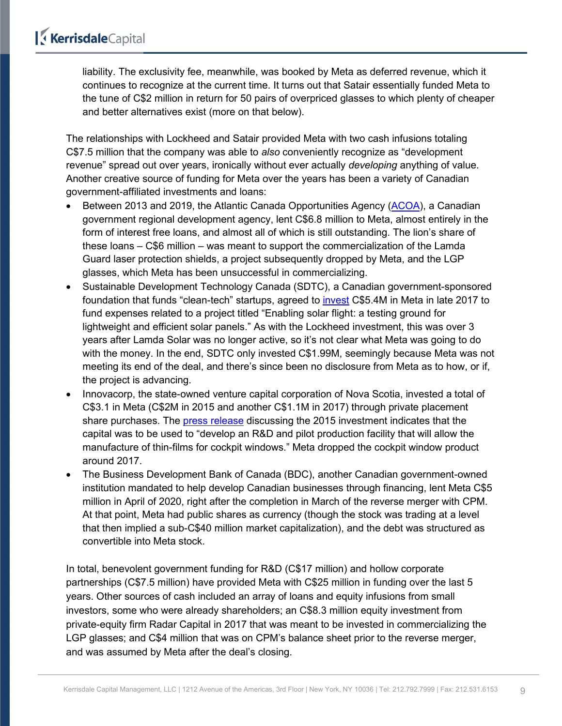liability. The exclusivity fee, meanwhile, was booked by Meta as deferred revenue, which it continues to recognize at the current time. It turns out that Satair essentially funded Meta to the tune of C\$2 million in return for 50 pairs of overpriced glasses to which plenty of cheaper and better alternatives exist (more on that below).

The relationships with Lockheed and Satair provided Meta with two cash infusions totaling C\$7.5 million that the company was able to *also* conveniently recognize as "development revenue" spread out over years, ironically without ever actually *developing* anything of value. Another creative source of funding for Meta over the years has been a variety of Canadian government-affiliated investments and loans:

- Between 2013 and 2019, the Atlantic Canada Opportunities Agency [\(ACOA\)](https://www.canada.ca/en/atlantic-canada-opportunities.html), a Canadian government regional development agency, lent C\$6.8 million to Meta, almost entirely in the form of interest free loans, and almost all of which is still outstanding. The lion's share of these loans – C\$6 million – was meant to support the commercialization of the Lamda Guard laser protection shields, a project subsequently dropped by Meta, and the LGP glasses, which Meta has been unsuccessful in commercializing.
- Sustainable Development Technology Canada (SDTC), a Canadian government-sponsored foundation that funds "clean-tech" startups, agreed to [invest](https://www.sdtc.ca/en/investments-made-in-nova-scotia-will-support-environmentally-friendly-technologies-and-healthier-communities/) C\$5.4M in Meta in late 2017 to fund expenses related to a project titled "Enabling solar flight: a testing ground for lightweight and efficient solar panels." As with the Lockheed investment, this was over 3 years after Lamda Solar was no longer active, so it's not clear what Meta was going to do with the money. In the end, SDTC only invested C\$1.99M, seemingly because Meta was not meeting its end of the deal, and there's since been no disclosure from Meta as to how, or if, the project is advancing.
- Innovacorp, the state-owned venture capital corporation of Nova Scotia, invested a total of C\$3.1 in Meta (C\$2M in 2015 and another C\$1.1M in 2017) through private placement share purchases. The [press release](https://entrevestor.com/ac/indepth/metamaterial-raises-at-least-3.1m) discussing the 2015 investment indicates that the capital was to be used to "develop an R&D and pilot production facility that will allow the manufacture of thin-films for cockpit windows." Meta dropped the cockpit window product around 2017.
- The Business Development Bank of Canada (BDC), another Canadian government-owned institution mandated to help develop Canadian businesses through financing, lent Meta C\$5 million in April of 2020, right after the completion in March of the reverse merger with CPM. At that point, Meta had public shares as currency (though the stock was trading at a level that then implied a sub-C\$40 million market capitalization), and the debt was structured as convertible into Meta stock.

In total, benevolent government funding for R&D (C\$17 million) and hollow corporate partnerships (C\$7.5 million) have provided Meta with C\$25 million in funding over the last 5 years. Other sources of cash included an array of loans and equity infusions from small investors, some who were already shareholders; an C\$8.3 million equity investment from private-equity firm Radar Capital in 2017 that was meant to be invested in commercializing the LGP glasses; and C\$4 million that was on CPM's balance sheet prior to the reverse merger, and was assumed by Meta after the deal's closing.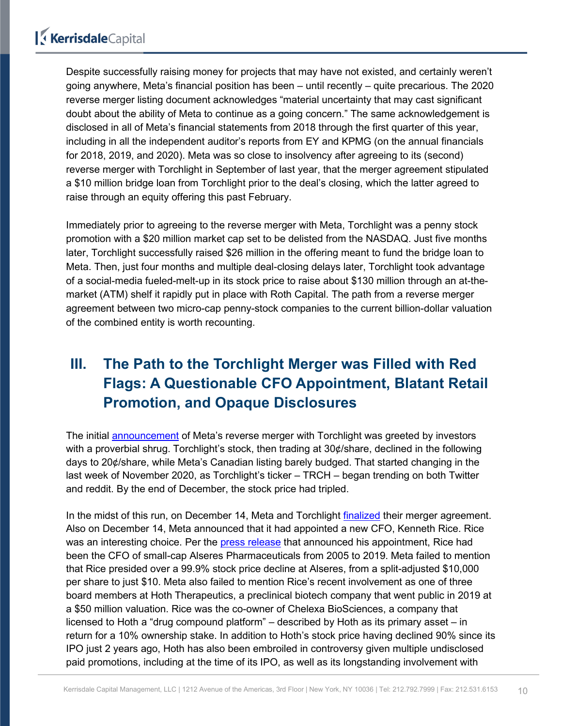Despite successfully raising money for projects that may have not existed, and certainly weren't going anywhere, Meta's financial position has been – until recently – quite precarious. The 2020 reverse merger listing document acknowledges "material uncertainty that may cast significant doubt about the ability of Meta to continue as a going concern." The same acknowledgement is disclosed in all of Meta's financial statements from 2018 through the first quarter of this year, including in all the independent auditor's reports from EY and KPMG (on the annual financials for 2018, 2019, and 2020). Meta was so close to insolvency after agreeing to its (second) reverse merger with Torchlight in September of last year, that the merger agreement stipulated a \$10 million bridge loan from Torchlight prior to the deal's closing, which the latter agreed to raise through an equity offering this past February.

Immediately prior to agreeing to the reverse merger with Meta, Torchlight was a penny stock promotion with a \$20 million market cap set to be delisted from the NASDAQ. Just five months later, Torchlight successfully raised \$26 million in the offering meant to fund the bridge loan to Meta. Then, just four months and multiple deal-closing delays later, Torchlight took advantage of a social-media fueled-melt-up in its stock price to raise about \$130 million through an at-themarket (ATM) shelf it rapidly put in place with Roth Capital. The path from a reverse merger agreement between two micro-cap penny-stock companies to the current billion-dollar valuation of the combined entity is worth recounting.

## <span id="page-9-0"></span>**III. The Path to the Torchlight Merger was Filled with Red Flags: A Questionable CFO Appointment, Blatant Retail Promotion, and Opaque Disclosures**

The initial [announcement](https://irdirect.net/prviewer/release_only/id/4461865) of Meta's reverse merger with Torchlight was greeted by investors with a proverbial shrug. Torchlight's stock, then trading at 30¢/share, declined in the following days to 20¢/share, while Meta's Canadian listing barely budged. That started changing in the last week of November 2020, as Torchlight's ticker – TRCH – began trending on both Twitter and reddit. By the end of December, the stock price had tripled.

In the midst of this run, on December 14, Meta and Torchlight [finalized](https://irdirect.net/prviewer/release_only/id/4564838) their merger agreement. Also on December 14, Meta announced that it had appointed a new CFO, Kenneth Rice. Rice was an interesting choice. Per the [press release](https://metamaterial.com/metamaterial-appoints-kenneth-l-rice-as-cfo-and-evp/) that announced his appointment, Rice had been the CFO of small-cap Alseres Pharmaceuticals from 2005 to 2019. Meta failed to mention that Rice presided over a 99.9% stock price decline at Alseres, from a split-adjusted \$10,000 per share to just \$10. Meta also failed to mention Rice's recent involvement as one of three board members at Hoth Therapeutics, a preclinical biotech company that went public in 2019 at a \$50 million valuation. Rice was the co-owner of Chelexa BioSciences, a company that licensed to Hoth a "drug compound platform" – described by Hoth as its primary asset – in return for a 10% ownership stake. In addition to Hoth's stock price having declined 90% since its IPO just 2 years ago, Hoth has also been embroiled in controversy given multiple undisclosed paid promotions, including at the time of its IPO, as well as its longstanding involvement with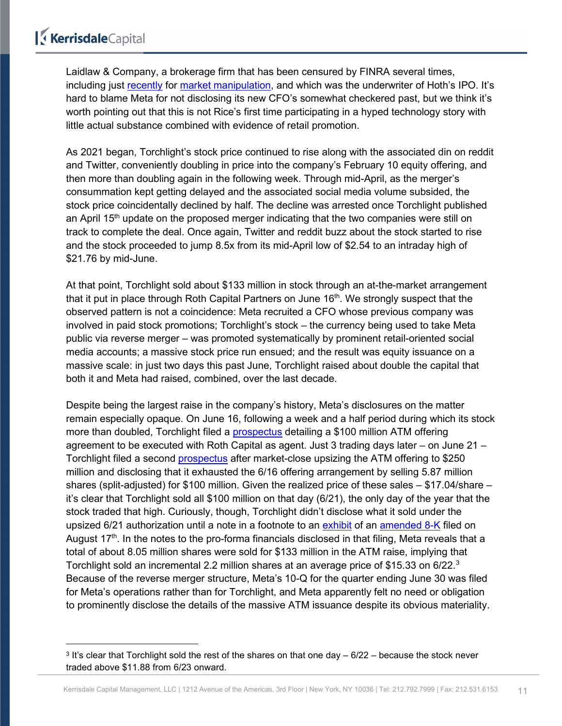Laidlaw & Company, a brokerage firm that has been censured by FINRA several times, including just [recently](https://www.whitesecuritieslaw.com/laidlaw-co-pay-1-5-million-supervisory-failures/) for [market manipulation,](https://www.finra.org/sites/default/files/fda_documents/2016049087201%20Laidlaw%20%26%20Company%20%28UK%29%20Ltd%20CRD%20119037%20John%20Coolong%20CRD%205924271%20AWC%20va.pdf) and which was the underwriter of Hoth's IPO. It's hard to blame Meta for not disclosing its new CFO's somewhat checkered past, but we think it's worth pointing out that this is not Rice's first time participating in a hyped technology story with little actual substance combined with evidence of retail promotion.

As 2021 began, Torchlight's stock price continued to rise along with the associated din on reddit and Twitter, conveniently doubling in price into the company's February 10 equity offering, and then more than doubling again in the following week. Through mid-April, as the merger's consummation kept getting delayed and the associated social media volume subsided, the stock price coincidentally declined by half. The decline was arrested once Torchlight published an April 15<sup>th</sup> update on the proposed merger indicating that the two companies were still on track to complete the deal. Once again, Twitter and reddit buzz about the stock started to rise and the stock proceeded to jump 8.5x from its mid-April low of \$2.54 to an intraday high of \$21.76 by mid-June.

At that point, Torchlight sold about \$133 million in stock through an at-the-market arrangement that it put in place through Roth Capital Partners on June  $16<sup>th</sup>$ . We strongly suspect that the observed pattern is not a coincidence: Meta recruited a CFO whose previous company was involved in paid stock promotions; Torchlight's stock – the currency being used to take Meta public via reverse merger – was promoted systematically by prominent retail-oriented social media accounts; a massive stock price run ensued; and the result was equity issuance on a massive scale: in just two days this past June, Torchlight raised about double the capital that both it and Meta had raised, combined, over the last decade.

Despite being the largest raise in the company's history, Meta's disclosures on the matter remain especially opaque. On June 16, following a week and a half period during which its stock more than doubled, Torchlight filed a [prospectus](https://www.sec.gov/Archives/edgar/data/0001431959/000119983521000383/form-424b5.htm) detailing a \$100 million ATM offering agreement to be executed with Roth Capital as agent. Just 3 trading days later – on June 21 – Torchlight filed a second [prospectus](https://www.sec.gov/Archives/edgar/data/0001431959/000119983521000410/form-424b5.htm) after market-close upsizing the ATM offering to \$250 million and disclosing that it exhausted the 6/16 offering arrangement by selling 5.87 million shares (split-adjusted) for \$100 million. Given the realized price of these sales – \$17.04/share – it's clear that Torchlight sold all \$100 million on that day (6/21), the only day of the year that the stock traded that high. Curiously, though, Torchlight didn't disclose what it sold under the upsized 6/21 authorization until a note in a footnote to an [exhibit](https://www.sec.gov/Archives/edgar/data/0001431959/000119312521248887/d125450dex993.htm) of an [amended 8-K](https://www.sec.gov/ix?doc=/Archives/edgar/data/0001431959/000119312521248887/d125450d8ka.htm) filed on August 17<sup>th</sup>. In the notes to the pro-forma financials disclosed in that filing, Meta reveals that a total of about 8.05 million shares were sold for \$133 million in the ATM raise, implying that Torchlight sold an incremental 2.2 million shares at an average price of \$15.[3](#page-10-0)3 on 6/22. $^{\rm 3}$ Because of the reverse merger structure, Meta's 10-Q for the quarter ending June 30 was filed for Meta's operations rather than for Torchlight, and Meta apparently felt no need or obligation to prominently disclose the details of the massive ATM issuance despite its obvious materiality.

<span id="page-10-0"></span><sup>&</sup>lt;sup>3</sup> It's clear that Torchlight sold the rest of the shares on that one day  $-6/22$  – because the stock never traded above \$11.88 from 6/23 onward.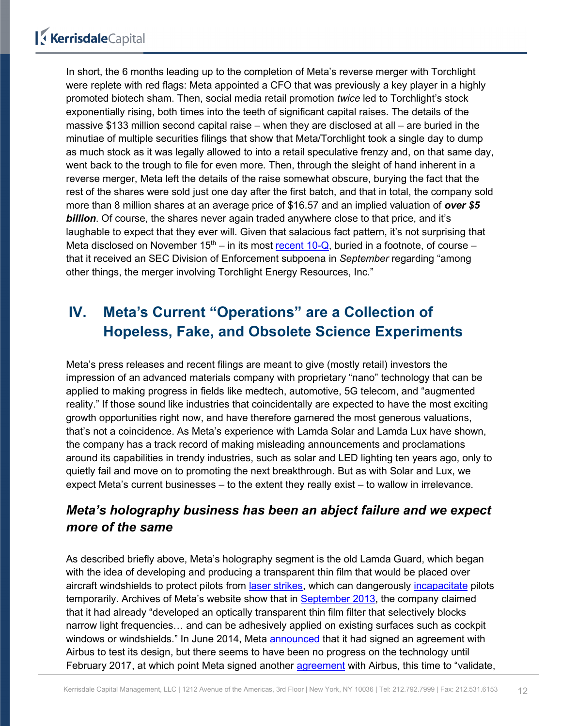In short, the 6 months leading up to the completion of Meta's reverse merger with Torchlight were replete with red flags: Meta appointed a CFO that was previously a key player in a highly promoted biotech sham. Then, social media retail promotion *twice* led to Torchlight's stock exponentially rising, both times into the teeth of significant capital raises. The details of the massive \$133 million second capital raise – when they are disclosed at all – are buried in the minutiae of multiple securities filings that show that Meta/Torchlight took a single day to dump as much stock as it was legally allowed to into a retail speculative frenzy and, on that same day, went back to the trough to file for even more. Then, through the sleight of hand inherent in a reverse merger, Meta left the details of the raise somewhat obscure, burying the fact that the rest of the shares were sold just one day after the first batch, and that in total, the company sold more than 8 million shares at an average price of \$16.57 and an implied valuation of *over \$5 billion*. Of course, the shares never again traded anywhere close to that price, and it's laughable to expect that they ever will. Given that salacious fact pattern, it's not surprising that Meta disclosed on November  $15<sup>th</sup> - in$  its most [recent 10-Q,](https://www.sec.gov/ix?doc=/Archives/edgar/data/1431959/000095017021004631/mmat-20210930.htm) buried in a footnote, of course – that it received an SEC Division of Enforcement subpoena in *September* regarding "among other things, the merger involving Torchlight Energy Resources, Inc."

## <span id="page-11-0"></span>**IV. Meta's Current "Operations" are a Collection of Hopeless, Fake, and Obsolete Science Experiments**

Meta's press releases and recent filings are meant to give (mostly retail) investors the impression of an advanced materials company with proprietary "nano" technology that can be applied to making progress in fields like medtech, automotive, 5G telecom, and "augmented reality." If those sound like industries that coincidentally are expected to have the most exciting growth opportunities right now, and have therefore garnered the most generous valuations, that's not a coincidence. As Meta's experience with Lamda Solar and Lamda Lux have shown, the company has a track record of making misleading announcements and proclamations around its capabilities in trendy industries, such as solar and LED lighting ten years ago, only to quietly fail and move on to promoting the next breakthrough. But as with Solar and Lux, we expect Meta's current businesses – to the extent they really exist – to wallow in irrelevance.

#### <span id="page-11-1"></span>*Meta's holography business has been an abject failure and we expect more of the same*

As described briefly above, Meta's holography segment is the old Lamda Guard, which began with the idea of developing and producing a transparent thin film that would be placed over aircraft windshields to protect pilots from [laser strikes,](https://www.faa.gov/about/initiatives/lasers/laws/) which can dangerously [incapacitate](https://www.faa.gov/about/initiatives/lasers/hazards/) pilots temporarily. Archives of Meta's website show that in [September 2013,](https://web.archive.org/web/20130926205044/http:/lamdaguard.com/products.php) the company claimed that it had already "developed an optically transparent thin film filter that selectively blocks narrow light frequencies… and can be adhesively applied on existing surfaces such as cockpit windows or windshields." In June 2014, Meta **announced** that it had signed an agreement with Airbus to test its design, but there seems to have been no progress on the technology until February 2017, at which point Meta signed another [agreement](https://metamaterial.com/metamaterial-technologies-inc-partners-with-airbus-to-co-develop-and-commercialize-metaair-a-laser-protection-solution/) with Airbus, this time to "validate,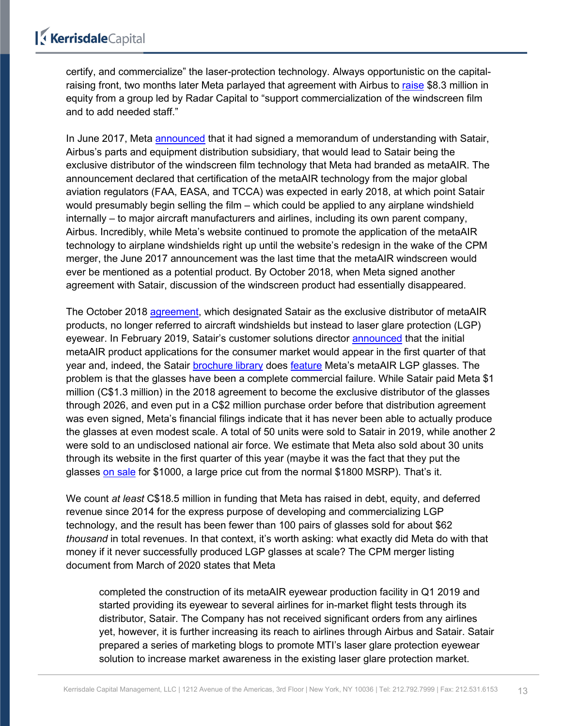certify, and commercialize" the laser-protection technology. Always opportunistic on the capitalraising front, two months later Meta parlayed that agreement with Airbus to [raise](https://metamaterial.com/radar-capital-leads-series-a-round-for-metamaterial-technologies-inc/) \$8.3 million in equity from a group led by Radar Capital to "support commercialization of the windscreen film and to add needed staff."

In June 2017, Meta [announced](https://metamaterial.com/satair-group-and-metamaterial-technologies-inc-sign-memorandum-of-understanding-to-bring-innovative-laser-strike-protection-to-civil-aviation-market/) that it had signed a memorandum of understanding with Satair, Airbus's parts and equipment distribution subsidiary, that would lead to Satair being the exclusive distributor of the windscreen film technology that Meta had branded as metaAIR. The announcement declared that certification of the metaAIR technology from the major global aviation regulators (FAA, EASA, and TCCA) was expected in early 2018, at which point Satair would presumably begin selling the film – which could be applied to any airplane windshield internally – to major aircraft manufacturers and airlines, including its own parent company, Airbus. Incredibly, while Meta's website continued to promote the application of the metaAIR technology to airplane windshields right up until the website's redesign in the wake of the CPM merger, the June 2017 announcement was the last time that the metaAIR windscreen would ever be mentioned as a potential product. By October 2018, when Meta signed another agreement with Satair, discussion of the windscreen product had essentially disappeared.

The October 2018 [agreement,](https://metamaterial.com/satair-and-metamaterial-technologies-inc-sign-distribution-deal-to-bring-innovative-laser-strike-protection-to-global-aviation-and-defence-markets/) which designated Satair as the exclusive distributor of metaAIR products, no longer referred to aircraft windshields but instead to laser glare protection (LGP) eyewear. In February 2019, Satair's customer solutions director [announced](https://www.laserpointersafety.com/news/news/other-news_files/036332027d0b735b598396d36d825e6a-603.php#on) that the initial metaAIR product applications for the consumer market would appear in the first quarter of that year and, indeed, the Satair [brochure library](http://ipaper.ipapercms.dk/Satair/SatairBrochures/#satair%20|%20airbus%20parts%20and%20services) does [feature](https://ipaper.ipapercms.dk/Satair/SatairBrochures/Satair/products-and-services/mti-commercial-metaair-laser-protection-eyewear/?GoToAndHighlightFirstSearchResult=metaair) Meta's metaAIR LGP glasses. The problem is that the glasses have been a complete commercial failure. While Satair paid Meta \$1 million (C\$1.3 million) in the 2018 agreement to become the exclusive distributor of the glasses through 2026, and even put in a C\$2 million purchase order before that distribution agreement was even signed, Meta's financial filings indicate that it has never been able to actually produce the glasses at even modest scale. A total of 50 units were sold to Satair in 2019, while another 2 were sold to an undisclosed national air force. We estimate that Meta also sold about 30 units through its website in the first quarter of this year (maybe it was the fact that they put the glasses [on sale](https://shop.metamaterial.com/product-category/metaair/metaair-aviation/) for \$1000, a large price cut from the normal \$1800 MSRP). That's it.

We count *at least* C\$18.5 million in funding that Meta has raised in debt, equity, and deferred revenue since 2014 for the express purpose of developing and commercializing LGP technology, and the result has been fewer than 100 pairs of glasses sold for about \$62 *thousand* in total revenues. In that context, it's worth asking: what exactly did Meta do with that money if it never successfully produced LGP glasses at scale? The CPM merger listing document from March of 2020 states that Meta

completed the construction of its metaAIR eyewear production facility in Q1 2019 and started providing its eyewear to several airlines for in-market flight tests through its distributor, Satair. The Company has not received significant orders from any airlines yet, however, it is further increasing its reach to airlines through Airbus and Satair. Satair prepared a series of marketing blogs to promote MTI's laser glare protection eyewear solution to increase market awareness in the existing laser glare protection market.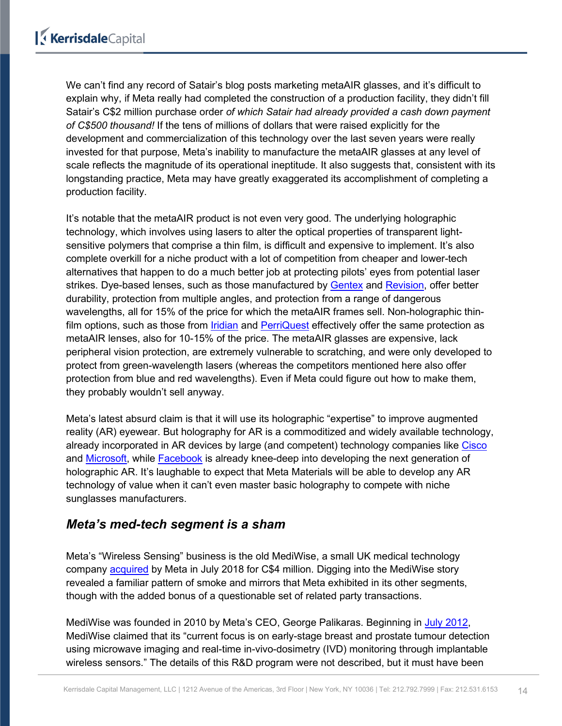We can't find any record of Satair's blog posts marketing metaAIR glasses, and it's difficult to explain why, if Meta really had completed the construction of a production facility, they didn't fill Satair's C\$2 million purchase order *of which Satair had already provided a cash down payment of C\$500 thousand!* If the tens of millions of dollars that were raised explicitly for the development and commercialization of this technology over the last seven years were really invested for that purpose, Meta's inability to manufacture the metaAIR glasses at any level of scale reflects the magnitude of its operational ineptitude. It also suggests that, consistent with its longstanding practice, Meta may have greatly exaggerated its accomplishment of completing a production facility.

It's notable that the metaAIR product is not even very good. The underlying holographic technology, which involves using lasers to alter the optical properties of transparent lightsensitive polymers that comprise a thin film, is difficult and expensive to implement. It's also complete overkill for a niche product with a lot of competition from cheaper and lower-tech alternatives that happen to do a much better job at protecting pilots' eyes from potential laser strikes. Dye-based lenses, such as those manufactured by [Gentex](https://shop.gentexcorp.com/content/Dazzle_Laser_Defense_Eyewear_Gentex_Data%20Sheet.pdf) and [Revision,](https://www.revisionmilitary.com/en/eyewear/laser/stingerhawk-lazrbloc-ft-2-gf-8-essential-kit) offer better durability, protection from multiple angles, and protection from a range of dangerous wavelengths, all for 15% of the price for which the metaAIR frames sell. Non-holographic thinfilm options, such as those from *Iridian* and [PerriQuest](https://www.perriquest.com/laser-defense-eyewear/laser-eye-protection-for-sale/) effectively offer the same protection as metaAIR lenses, also for 10-15% of the price. The metaAIR glasses are expensive, lack peripheral vision protection, are extremely vulnerable to scratching, and were only developed to protect from green-wavelength lasers (whereas the competitors mentioned here also offer protection from blue and red wavelengths). Even if Meta could figure out how to make them, they probably wouldn't sell anyway.

Meta's latest absurd claim is that it will use its holographic "expertise" to improve augmented reality (AR) eyewear. But holography for AR is a commoditized and widely available technology, already incorporated in AR devices by large (and competent) technology companies like [Cisco](https://projectworkplace.cisco.com/capabilities/hologram) and [Microsoft,](https://www.microsoft.com/en-us/hololens) while **Facebook** is already knee-deep into developing the next generation of holographic AR. It's laughable to expect that Meta Materials will be able to develop any AR technology of value when it can't even master basic holography to compete with niche sunglasses manufacturers.

#### <span id="page-13-0"></span>*Meta's med-tech segment is a sham*

Meta's "Wireless Sensing" business is the old MediWise, a small UK medical technology company **acquired** by Meta in July 2018 for C\$4 million. Digging into the MediWise story revealed a familiar pattern of smoke and mirrors that Meta exhibited in its other segments, though with the added bonus of a questionable set of related party transactions.

MediWise was founded in 2010 by Meta's CEO, George Palikaras. Beginning in [July 2012,](https://web.archive.org/web/20120720001010/http:/mediwise.co.uk/company.html) MediWise claimed that its "current focus is on early-stage breast and prostate tumour detection using microwave imaging and real-time in-vivo-dosimetry (IVD) monitoring through implantable wireless sensors." The details of this R&D program were not described, but it must have been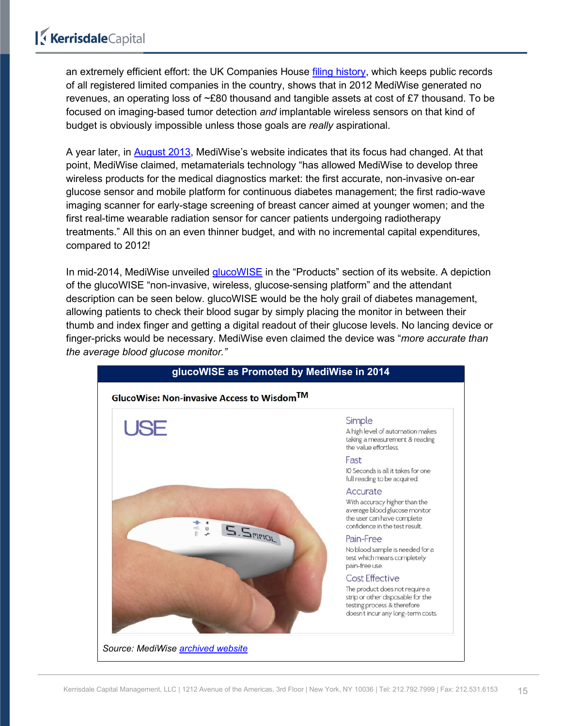an extremely efficient effort: the UK Companies House [filing history,](https://find-and-update.company-information.service.gov.uk/company/07469550/filing-history) which keeps public records of all registered limited companies in the country, shows that in 2012 MediWise generated no revenues, an operating loss of ~£80 thousand and tangible assets at cost of £7 thousand. To be focused on imaging-based tumor detection *and* implantable wireless sensors on that kind of budget is obviously impossible unless those goals are *really* aspirational.

A year later, in [August 2013,](https://web.archive.org/web/20130804040105/http:/www.mediwise.co.uk/company.html) MediWise's website indicates that its focus had changed. At that point, MediWise claimed, metamaterials technology "has allowed MediWise to develop three wireless products for the medical diagnostics market: the first accurate, non-invasive on-ear glucose sensor and mobile platform for continuous diabetes management; the first radio-wave imaging scanner for early-stage screening of breast cancer aimed at younger women; and the first real-time wearable radiation sensor for cancer patients undergoing radiotherapy treatments." All this on an even thinner budget, and with no incremental capital expenditures, compared to 2012!

In mid-2014, MediWise unveiled [glucoWISE](https://web.archive.org/web/20140627174450/http:/mediwise.co.uk/products.html) in the "Products" section of its website. A depiction of the glucoWISE "non-invasive, wireless, glucose-sensing platform" and the attendant description can be seen below. glucoWISE would be the holy grail of diabetes management, allowing patients to check their blood sugar by simply placing the monitor in between their thumb and index finger and getting a digital readout of their glucose levels. No lancing device or finger-pricks would be necessary. MediWise even claimed the device was "*more accurate than the average blood glucose monitor."*

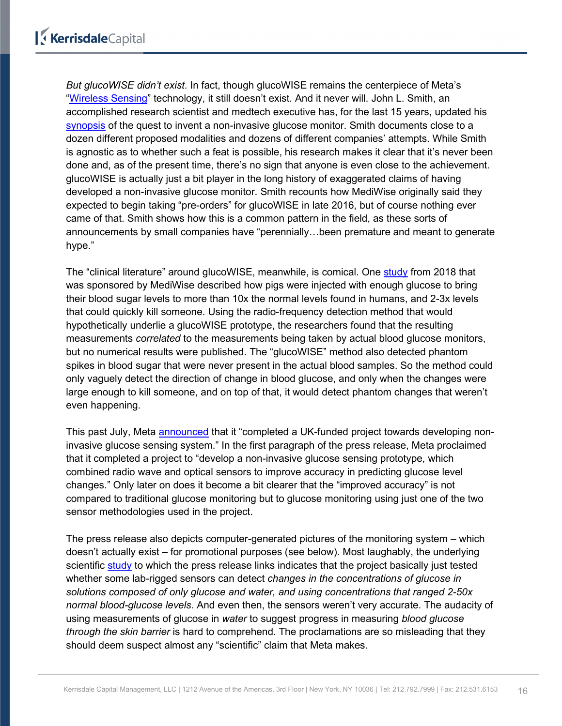*But glucoWISE didn't exist*. In fact, though glucoWISE remains the centerpiece of Meta's ["Wireless Sensing"](https://metamaterial.com/technologies/wireless-sensing/) technology, it still doesn't exist. And it never will. John L. Smith, an accomplished research scientist and medtech executive has, for the last 15 years, updated his [synopsis](https://www.nivglucose.com/The%20Pursuit%20of%20Noninvasive%20Glucose%207th%20Edition.pdf) of the quest to invent a non-invasive glucose monitor. Smith documents close to a dozen different proposed modalities and dozens of different companies' attempts. While Smith is agnostic as to whether such a feat is possible, his research makes it clear that it's never been done and, as of the present time, there's no sign that anyone is even close to the achievement. glucoWISE is actually just a bit player in the long history of exaggerated claims of having developed a non-invasive glucose monitor. Smith recounts how MediWise originally said they expected to begin taking "pre-orders" for glucoWISE in late 2016, but of course nothing ever came of that. Smith shows how this is a common pattern in the field, as these sorts of announcements by small companies have "perennially…been premature and meant to generate hype."

The "clinical literature" around glucoWISE, meanwhile, is comical. One [study](https://link.springer.com/article/10.1007/s10762-018-0502-6) from 2018 that was sponsored by MediWise described how pigs were injected with enough glucose to bring their blood sugar levels to more than 10x the normal levels found in humans, and 2-3x levels that could quickly kill someone. Using the radio-frequency detection method that would hypothetically underlie a glucoWISE prototype, the researchers found that the resulting measurements *correlated* to the measurements being taken by actual blood glucose monitors, but no numerical results were published. The "glucoWISE" method also detected phantom spikes in blood sugar that were never present in the actual blood samples. So the method could only vaguely detect the direction of change in blood glucose, and only when the changes were large enough to kill someone, and on top of that, it would detect phantom changes that weren't even happening.

This past July, Meta [announced](https://metamaterial.com/meta-completes-uk-funded-project-towards-developing-non-invasive-glucose-sensing-system/) that it "completed a UK-funded project towards developing noninvasive glucose sensing system." In the first paragraph of the press release, Meta proclaimed that it completed a project to "develop a non-invasive glucose sensing prototype, which combined radio wave and optical sensors to improve accuracy in predicting glucose level changes." Only later on does it become a bit clearer that the "improved accuracy" is not compared to traditional glucose monitoring but to glucose monitoring using just one of the two sensor methodologies used in the project.

The press release also depicts computer-generated pictures of the monitoring system – which doesn't actually exist – for promotional purposes (see below). Most laughably, the underlying scientific [study](https://www.mdpi.com/1424-8220/21/9/3275/htm) to which the press release links indicates that the project basically just tested whether some lab-rigged sensors can detect *changes in the concentrations of glucose in solutions composed of only glucose and water, and using concentrations that ranged 2-50x normal blood-glucose levels*. And even then, the sensors weren't very accurate. The audacity of using measurements of glucose in *water* to suggest progress in measuring *blood glucose through the skin barrier* is hard to comprehend. The proclamations are so misleading that they should deem suspect almost any "scientific" claim that Meta makes.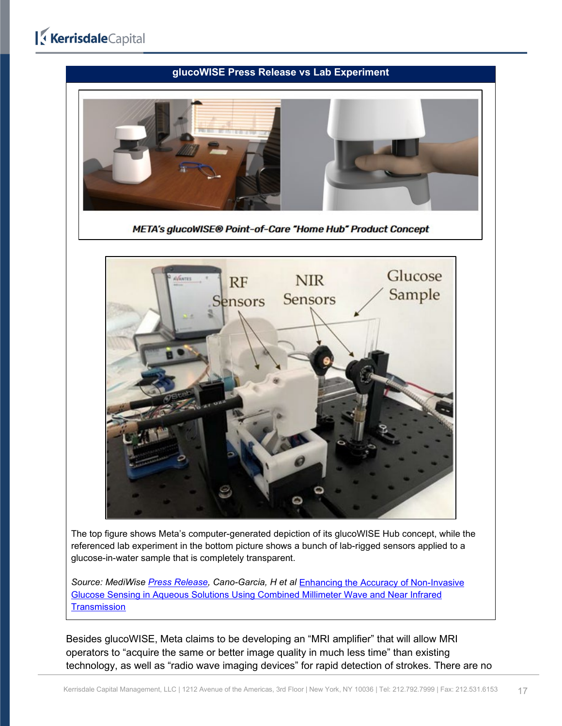

The top figure shows Meta's computer-generated depiction of its glucoWISE Hub concept, while the referenced lab experiment in the bottom picture shows a bunch of lab-rigged sensors applied to a glucose-in-water sample that is completely transparent.

*Source: MediWise [Press Release,](https://metamaterial.com/meta-completes-uk-funded-project-towards-developing-non-invasive-glucose-sensing-system/) Cano-Garcia, H et al* [Enhancing the Accuracy of Non-Invasive](https://www.mdpi.com/1424-8220/21/9/3275/htm)  [Glucose Sensing in Aqueous Solutions Using Combined](https://www.mdpi.com/1424-8220/21/9/3275/htm) Millimeter Wave and Near Infrared **[Transmission](https://www.mdpi.com/1424-8220/21/9/3275/htm)** 

Besides glucoWISE, Meta claims to be developing an "MRI amplifier" that will allow MRI operators to "acquire the same or better image quality in much less time" than existing technology, as well as "radio wave imaging devices" for rapid detection of strokes. There are no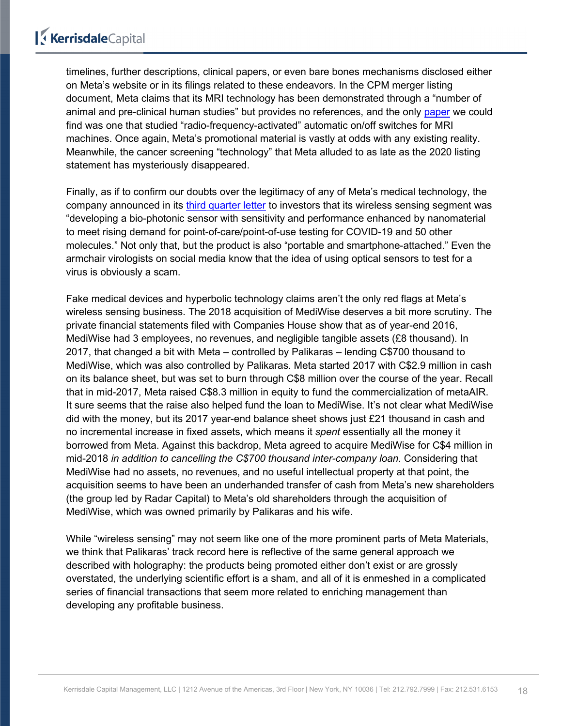timelines, further descriptions, clinical papers, or even bare bones mechanisms disclosed either on Meta's website or in its filings related to these endeavors. In the CPM merger listing document, Meta claims that its MRI technology has been demonstrated through a "number of animal and pre-clinical human studies" but provides no references, and the only [paper](https://pubmed.ncbi.nlm.nih.gov/32572087/) we could find was one that studied "radio-frequency-activated" automatic on/off switches for MRI machines. Once again, Meta's promotional material is vastly at odds with any existing reality. Meanwhile, the cancer screening "technology" that Meta alluded to as late as the 2020 listing statement has mysteriously disappeared.

Finally, as if to confirm our doubts over the legitimacy of any of Meta's medical technology, the company announced in its [third quarter letter](https://assets.website-files.com/603fd35021a8272338f06fac/619401b5f2b8863640cee754_META%20Shareholder%20Letter%20Q32021.pdf) to investors that its wireless sensing segment was "developing a bio-photonic sensor with sensitivity and performance enhanced by nanomaterial to meet rising demand for point-of-care/point-of-use testing for COVID-19 and 50 other molecules." Not only that, but the product is also "portable and smartphone-attached." Even the armchair virologists on social media know that the idea of using optical sensors to test for a virus is obviously a scam.

Fake medical devices and hyperbolic technology claims aren't the only red flags at Meta's wireless sensing business. The 2018 acquisition of MediWise deserves a bit more scrutiny. The private financial statements filed with Companies House show that as of year-end 2016, MediWise had 3 employees, no revenues, and negligible tangible assets (£8 thousand). In 2017, that changed a bit with Meta – controlled by Palikaras – lending C\$700 thousand to MediWise, which was also controlled by Palikaras. Meta started 2017 with C\$2.9 million in cash on its balance sheet, but was set to burn through C\$8 million over the course of the year. Recall that in mid-2017, Meta raised C\$8.3 million in equity to fund the commercialization of metaAIR. It sure seems that the raise also helped fund the loan to MediWise. It's not clear what MediWise did with the money, but its 2017 year-end balance sheet shows just £21 thousand in cash and no incremental increase in fixed assets, which means it *spent* essentially all the money it borrowed from Meta. Against this backdrop, Meta agreed to acquire MediWise for C\$4 million in mid-2018 *in addition to cancelling the C\$700 thousand inter-company loan*. Considering that MediWise had no assets, no revenues, and no useful intellectual property at that point, the acquisition seems to have been an underhanded transfer of cash from Meta's new shareholders (the group led by Radar Capital) to Meta's old shareholders through the acquisition of MediWise, which was owned primarily by Palikaras and his wife.

While "wireless sensing" may not seem like one of the more prominent parts of Meta Materials, we think that Palikaras' track record here is reflective of the same general approach we described with holography: the products being promoted either don't exist or are grossly overstated, the underlying scientific effort is a sham, and all of it is enmeshed in a complicated series of financial transactions that seem more related to enriching management than developing any profitable business.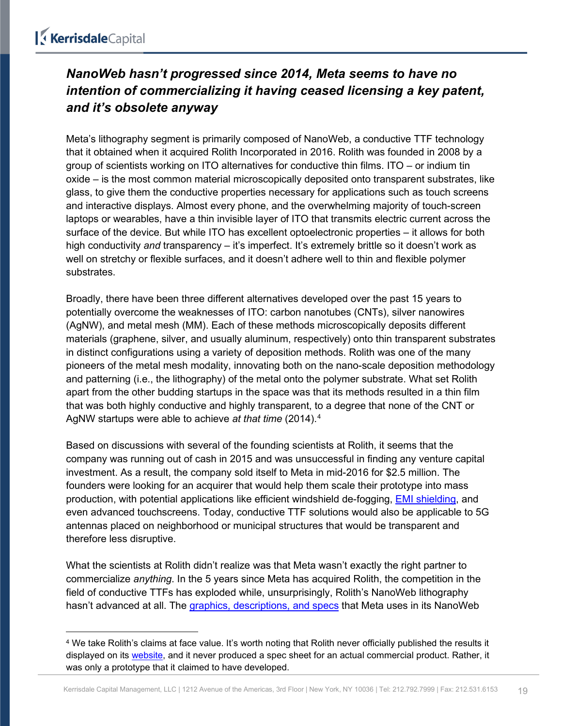#### <span id="page-18-0"></span>*NanoWeb hasn't progressed since 2014, Meta seems to have no intention of commercializing it having ceased licensing a key patent, and it's obsolete anyway*

Meta's lithography segment is primarily composed of NanoWeb, a conductive TTF technology that it obtained when it acquired Rolith Incorporated in 2016. Rolith was founded in 2008 by a group of scientists working on ITO alternatives for conductive thin films. ITO – or indium tin oxide – is the most common material microscopically deposited onto transparent substrates, like glass, to give them the conductive properties necessary for applications such as touch screens and interactive displays. Almost every phone, and the overwhelming majority of touch-screen laptops or wearables, have a thin invisible layer of ITO that transmits electric current across the surface of the device. But while ITO has excellent optoelectronic properties – it allows for both high conductivity *and* transparency – it's imperfect. It's extremely brittle so it doesn't work as well on stretchy or flexible surfaces, and it doesn't adhere well to thin and flexible polymer substrates.

Broadly, there have been three different alternatives developed over the past 15 years to potentially overcome the weaknesses of ITO: carbon nanotubes (CNTs), silver nanowires (AgNW), and metal mesh (MM). Each of these methods microscopically deposits different materials (graphene, silver, and usually aluminum, respectively) onto thin transparent substrates in distinct configurations using a variety of deposition methods. Rolith was one of the many pioneers of the metal mesh modality, innovating both on the nano-scale deposition methodology and patterning (i.e., the lithography) of the metal onto the polymer substrate. What set Rolith apart from the other budding startups in the space was that its methods resulted in a thin film that was both highly conductive and highly transparent, to a degree that none of the CNT or AgNW startups were able to achieve *at that time* (2014). [4](#page-18-1)

Based on discussions with several of the founding scientists at Rolith, it seems that the company was running out of cash in 2015 and was unsuccessful in finding any venture capital investment. As a result, the company sold itself to Meta in mid-2016 for \$2.5 million. The founders were looking for an acquirer that would help them scale their prototype into mass production, with potential applications like efficient windshield de-fogging, **EMI shielding**, and even advanced touchscreens. Today, conductive TTF solutions would also be applicable to 5G antennas placed on neighborhood or municipal structures that would be transparent and therefore less disruptive.

What the scientists at Rolith didn't realize was that Meta wasn't exactly the right partner to commercialize *anything*. In the 5 years since Meta has acquired Rolith, the competition in the field of conductive TTFs has exploded while, unsurprisingly, Rolith's NanoWeb lithography hasn't advanced at all. The [graphics, descriptions,](https://metamaterial.com/technologies/lithography/) and specs that Meta uses in its NanoWeb

<span id="page-18-1"></span><sup>4</sup> We take Rolith's claims at face value. It's worth noting that Rolith never officially published the results it displayed on its [website,](https://web.archive.org/web/20150919213333/http:/www.rolith.com/applications/transparent-conductive-electrodes) and it never produced a spec sheet for an actual commercial product. Rather, it was only a prototype that it claimed to have developed.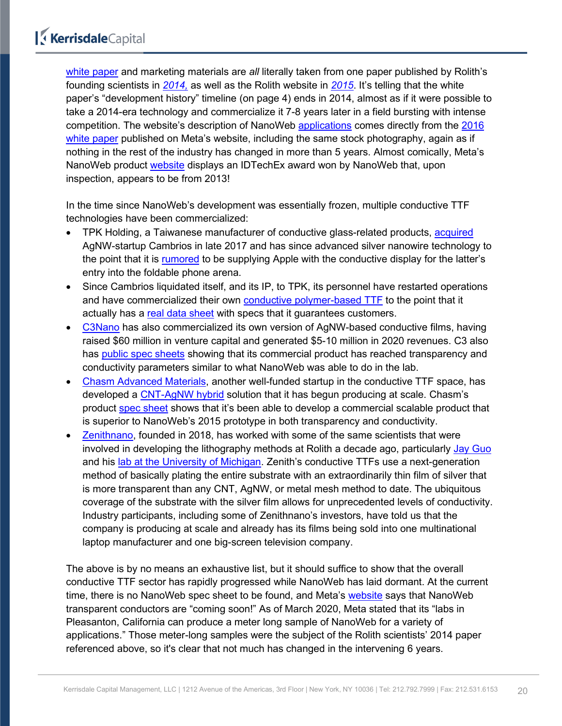[white paper](https://f.hubspotusercontent30.net/hubfs/1871983/NanoWeb%20White%20Paper%20rev%202%20-%20May%202021.pdf) and marketing materials are *all* literally taken from one paper published by Rolith's founding scientists in *[2014,](https://www.spiedigitallibrary.org/conference-proceedings-of-spie/8974/89740V/Antireflective-surface-patterned-by-rolling-mask-lithography/10.1117/12.2037415.short)* as well as the Rolith website in *[2015](https://web.archive.org/web/20150919213333/http:/www.rolith.com/applications/transparent-conductive-electrodes)*. It's telling that the white paper's "development history" timeline (on page 4) ends in 2014, almost as if it were possible to take a 2014-era technology and commercialize it 7-8 years later in a field bursting with intense competition. The website's description of NanoWeb [applications](https://metamaterial.com/products/nanoweb/) comes directly from the [2016](https://cdn2.hubspot.net/hubfs/1871983/Offers/20116-09-07_NanoWeb_Website_CTA_.pdf?__hstc=&__hssc=&hsCtaTracking=bfcf78cf-e029-44a1-a667-2a4cfbef9f68%7C030486fb-c5d7-4e79-8cce-77349c368f8e)  [white paper](https://cdn2.hubspot.net/hubfs/1871983/Offers/20116-09-07_NanoWeb_Website_CTA_.pdf?__hstc=&__hssc=&hsCtaTracking=bfcf78cf-e029-44a1-a667-2a4cfbef9f68%7C030486fb-c5d7-4e79-8cce-77349c368f8e) published on Meta's website, including the same stock photography, again as if nothing in the rest of the industry has changed in more than 5 years. Almost comically, Meta's NanoWeb product [website](https://metamaterial.com/products/nanoweb/) displays an IDTechEx award won by NanoWeb that, upon inspection, appears to be from 2013!

In the time since NanoWeb's development was essentially frozen, multiple conductive TTF technologies have been commercialized:

- TPK Holding, a Taiwanese manufacturer of conductive glass-related products, [acquired](https://www.displaydaily.com/article/display-daily/does-c3nano-have-the-technology-that-will-kill-ito) AgNW-startup Cambrios in late 2017 and has since advanced silver nanowire technology to the point that it is [rumored](https://www.realmicentral.com/2021/05/03/apple-will-launch-an-8-inch-foldable-iphone-in-2023/) to be supplying Apple with the conductive display for the latter's entry into the foldable phone arena.
- Since Cambrios liquidated itself, and its IP, to TPK, its personnel have restarted operations and have commercialized their own [conductive polymer-based TTF](https://www.cambrios.com/solution-detail/tcf/) to the point that it actually has a [real data sheet](https://www.cambrios.com/download/0/download-cambrios-tds/) with specs that it guarantees customers.
- [C3Nano](https://c3nano.com/) has also commercialized its own version of AgNW-based conductive films, having raised \$60 million in venture capital and generated \$5-10 million in 2020 revenues. C3 also has [public spec sheets](https://c3nano.com/products/active-grid-film/) showing that its commercial product has reached transparency and conductivity parameters similar to what NanoWeb was able to do in the lab.
- [Chasm Advanced Materials,](https://www.chasmtek.com/) another well-funded startup in the conductive TTF space, has developed a [CNT-AgNW hybrid](https://www.chasmtek.com/chasm-products) solution that it has begun producing at scale. Chasm's product [spec sheet](https://www.chasmtek.com/hubfs/Documents/Datasheets/(%20TDS%20)%20AgeNT%201%20-%20G2.pdf) shows that it's been able to develop a commercial scalable product that is superior to NanoWeb's 2015 prototype in both transparency and conductivity.
- [Zenithnano,](http://zenithnano.com/en/) founded in 2018, has worked with some of the same scientists that were involved in developing the lithography methods at Rolith a decade ago, particularly [Jay Guo](https://eecs.engin.umich.edu/people/guo-l-jay/) and his [lab at the University of Michigan.](http://www.guogroup.org/) Zenith's conductive TTFs use a next-generation method of basically plating the entire substrate with an extraordinarily thin film of silver that is more transparent than any CNT, AgNW, or metal mesh method to date. The ubiquitous coverage of the substrate with the silver film allows for unprecedented levels of conductivity. Industry participants, including some of Zenithnano's investors, have told us that the company is producing at scale and already has its films being sold into one multinational laptop manufacturer and one big-screen television company.

The above is by no means an exhaustive list, but it should suffice to show that the overall conductive TTF sector has rapidly progressed while NanoWeb has laid dormant. At the current time, there is no NanoWeb spec sheet to be found, and Meta's [website](https://shop.metamaterial.com/product-category/nanoweb/) says that NanoWeb transparent conductors are "coming soon!" As of March 2020, Meta stated that its "labs in Pleasanton, California can produce a meter long sample of NanoWeb for a variety of applications." Those meter-long samples were the subject of the Rolith scientists' 2014 paper referenced above, so it's clear that not much has changed in the intervening 6 years.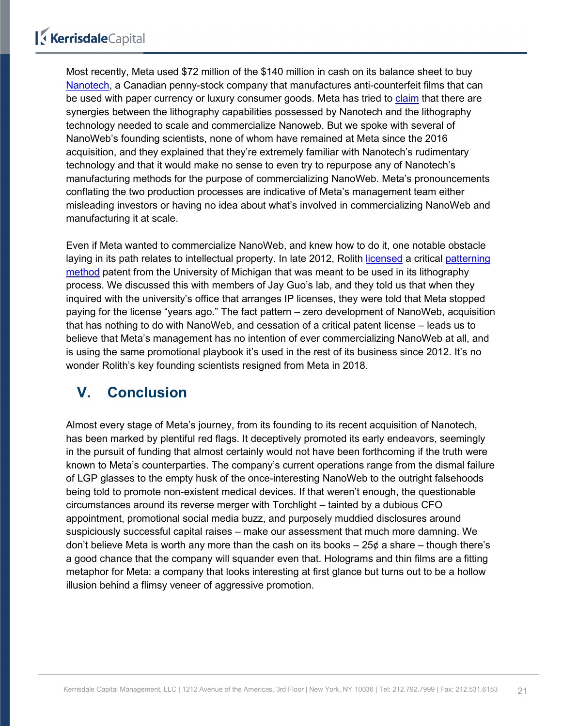Most recently, Meta used \$72 million of the \$140 million in cash on its balance sheet to buy [Nanotech,](https://www.nanosecurity.ca/our-story/) a Canadian penny-stock company that manufactures anti-counterfeit films that can be used with paper currency or luxury consumer goods. Meta has tried to [claim](https://metamaterial.com/meta-announces-agreement-to-acquire-nanotech-security-corp-for-c90-8-million/) that there are synergies between the lithography capabilities possessed by Nanotech and the lithography technology needed to scale and commercialize Nanoweb. But we spoke with several of NanoWeb's founding scientists, none of whom have remained at Meta since the 2016 acquisition, and they explained that they're extremely familiar with Nanotech's rudimentary technology and that it would make no sense to even try to repurpose any of Nanotech's manufacturing methods for the purpose of commercializing NanoWeb. Meta's pronouncements conflating the two production processes are indicative of Meta's management team either misleading investors or having no idea about what's involved in commercializing NanoWeb and manufacturing it at scale.

Even if Meta wanted to commercialize NanoWeb, and knew how to do it, one notable obstacle laying in its path relates to intellectual property. In late 2012, Rolith [licensed](https://www.technologynetworks.com/applied-sciences/news/rolith-aims-to-address-the-growing-market-for-transparent-electrodes-208088) a critical [patterning](https://patentimages.storage.googleapis.com/19/d6/d8/5f8ddc60986fd6/US9720330.pdf)  [method](https://patentimages.storage.googleapis.com/19/d6/d8/5f8ddc60986fd6/US9720330.pdf) patent from the University of Michigan that was meant to be used in its lithography process. We discussed this with members of Jay Guo's lab, and they told us that when they inquired with the university's office that arranges IP licenses, they were told that Meta stopped paying for the license "years ago." The fact pattern – zero development of NanoWeb, acquisition that has nothing to do with NanoWeb, and cessation of a critical patent license – leads us to believe that Meta's management has no intention of ever commercializing NanoWeb at all, and is using the same promotional playbook it's used in the rest of its business since 2012. It's no wonder Rolith's key founding scientists resigned from Meta in 2018.

### <span id="page-20-0"></span>**V. Conclusion**

Almost every stage of Meta's journey, from its founding to its recent acquisition of Nanotech, has been marked by plentiful red flags. It deceptively promoted its early endeavors, seemingly in the pursuit of funding that almost certainly would not have been forthcoming if the truth were known to Meta's counterparties. The company's current operations range from the dismal failure of LGP glasses to the empty husk of the once-interesting NanoWeb to the outright falsehoods being told to promote non-existent medical devices. If that weren't enough, the questionable circumstances around its reverse merger with Torchlight – tainted by a dubious CFO appointment, promotional social media buzz, and purposely muddied disclosures around suspiciously successful capital raises – make our assessment that much more damning. We don't believe Meta is worth any more than the cash on its books  $-25\phi$  a share  $-$  though there's a good chance that the company will squander even that. Holograms and thin films are a fitting metaphor for Meta: a company that looks interesting at first glance but turns out to be a hollow illusion behind a flimsy veneer of aggressive promotion.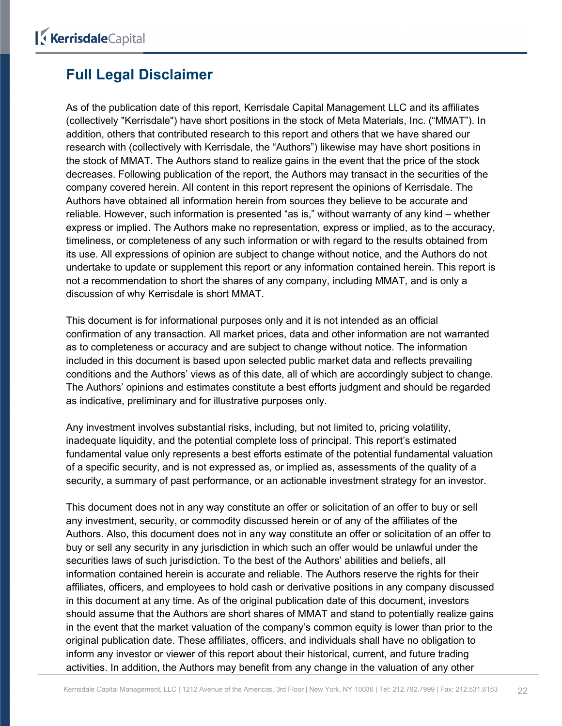## <span id="page-21-0"></span>**Full Legal Disclaimer**

As of the publication date of this report, Kerrisdale Capital Management LLC and its affiliates (collectively "Kerrisdale") have short positions in the stock of Meta Materials, Inc. ("MMAT"). In addition, others that contributed research to this report and others that we have shared our research with (collectively with Kerrisdale, the "Authors") likewise may have short positions in the stock of MMAT. The Authors stand to realize gains in the event that the price of the stock decreases. Following publication of the report, the Authors may transact in the securities of the company covered herein. All content in this report represent the opinions of Kerrisdale. The Authors have obtained all information herein from sources they believe to be accurate and reliable. However, such information is presented "as is," without warranty of any kind – whether express or implied. The Authors make no representation, express or implied, as to the accuracy, timeliness, or completeness of any such information or with regard to the results obtained from its use. All expressions of opinion are subject to change without notice, and the Authors do not undertake to update or supplement this report or any information contained herein. This report is not a recommendation to short the shares of any company, including MMAT, and is only a discussion of why Kerrisdale is short MMAT.

This document is for informational purposes only and it is not intended as an official confirmation of any transaction. All market prices, data and other information are not warranted as to completeness or accuracy and are subject to change without notice. The information included in this document is based upon selected public market data and reflects prevailing conditions and the Authors' views as of this date, all of which are accordingly subject to change. The Authors' opinions and estimates constitute a best efforts judgment and should be regarded as indicative, preliminary and for illustrative purposes only.

Any investment involves substantial risks, including, but not limited to, pricing volatility, inadequate liquidity, and the potential complete loss of principal. This report's estimated fundamental value only represents a best efforts estimate of the potential fundamental valuation of a specific security, and is not expressed as, or implied as, assessments of the quality of a security, a summary of past performance, or an actionable investment strategy for an investor.

This document does not in any way constitute an offer or solicitation of an offer to buy or sell any investment, security, or commodity discussed herein or of any of the affiliates of the Authors. Also, this document does not in any way constitute an offer or solicitation of an offer to buy or sell any security in any jurisdiction in which such an offer would be unlawful under the securities laws of such jurisdiction. To the best of the Authors' abilities and beliefs, all information contained herein is accurate and reliable. The Authors reserve the rights for their affiliates, officers, and employees to hold cash or derivative positions in any company discussed in this document at any time. As of the original publication date of this document, investors should assume that the Authors are short shares of MMAT and stand to potentially realize gains in the event that the market valuation of the company's common equity is lower than prior to the original publication date. These affiliates, officers, and individuals shall have no obligation to inform any investor or viewer of this report about their historical, current, and future trading activities. In addition, the Authors may benefit from any change in the valuation of any other